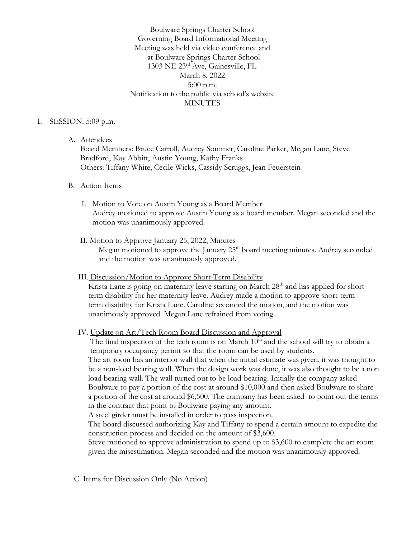Boulware Springs Charter School Governing Board Informational Meeting Meeting was held via video conference and at Boulware Springs Charter School 1303 NE 23rd Ave, Gainesville, FL March 8, 2022 5:00 p.m. Notification to the public via school's website MINUTES

#### I. SESSION: 5:09 p.m.

A. Attendees

Board Members: Bruce Carroll, Audrey Sommer, Caroline Parker, Megan Lane, Steve Bradford, Kay Abbitt, Austin Young, Kathy Franks Others: Tiffany White, Cecile Wicks, Cassidy Scruggs, Jean Feuerstein

#### B. Action Items

- I. Motion to Vote on Austin Young as a Board Member Audrey motioned to approve Austin Young as a board member. Megan seconded and the motion was unanimously approved.
- II. Motion to Approve January 25, 2022, Minutes

Megan motioned to approve the January 25<sup>th</sup> board meeting minutes. Audrey seconded and the motion was unanimously approved.

### III. Discussion/Motion to Approve Short-Term Disability

Krista Lane is going on maternity leave starting on March 28<sup>th</sup> and has applied for short term disability for her maternity leave. Audrey made a motion to approve short-term term disability for Krista Lane. Caroline seconded the motion, and the motion was unanimously approved. Megan Lane refrained from voting.

## IV. Update on Art/Tech Room Board Discussion and Approval

The final inspection of the tech room is on March 10<sup>th</sup> and the school will try to obtain a temporary occupancy permit so that the room can be used by students.

 The art room has an interior wall that when the initial estimate was given, it was thought to be a non-load bearing wall. When the design work was done, it was also thought to be a non load bearing wall. The wall turned out to be load-bearing. Initially the company asked Boulware to pay a portion of the cost at around \$10,000 and then asked Boulware to share a portion of the cost at around \$6,500. The company has been asked to point out the terms in the contract that point to Boulware paying any amount.

A steel girder must be installed in order to pass inspection.

 The board discussed authorizing Kay and Tiffany to spend a certain amount to expedite the construction process and decided on the amount of \$3,600.

 Steve motioned to approve administration to spend up to \$3,600 to complete the art room given the misestimation. Megan seconded and the motion was unanimously approved.

C. Items for Discussion Only (No Action)